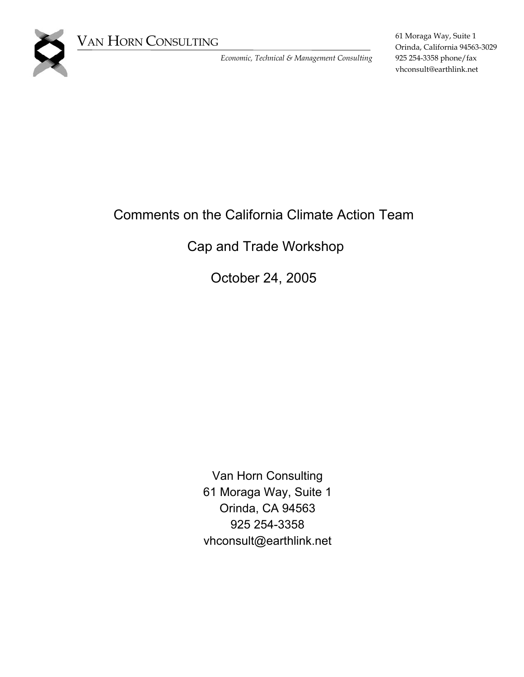

VAN HORN CONSULTING

*Economic, Technical & Management Consulting* 

61 Moraga Way, Suite 1 Orinda, California 94563-3029 925 254-3358 phone/fax vhconsult@earthlink.net

# Comments on the California Climate Action Team

## Cap and Trade Workshop

October 24, 2005

Van Horn Consulting 61 Moraga Way, Suite 1 Orinda, CA 94563 925 254-3358 vhconsult@earthlink.net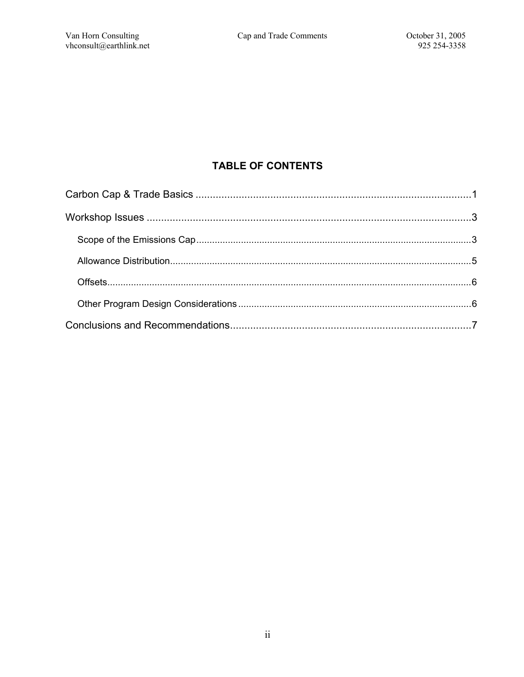### **TABLE OF CONTENTS**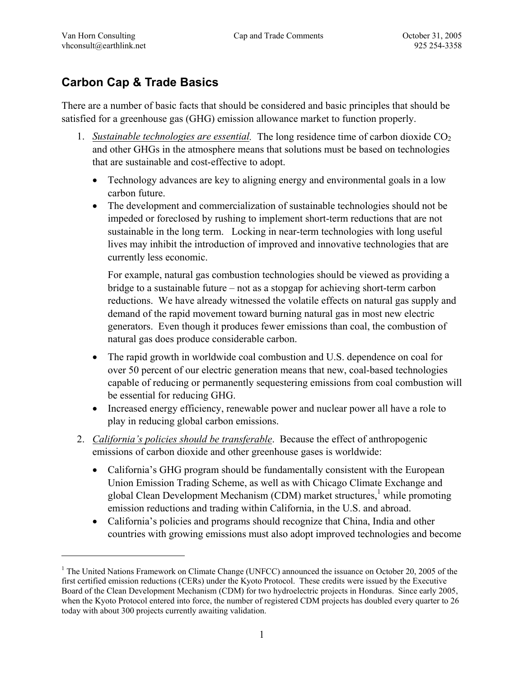$\overline{a}$ 

## <span id="page-2-0"></span>**Carbon Cap & Trade Basics**

There are a number of basic facts that should be considered and basic principles that should be satisfied for a greenhouse gas (GHG) emission allowance market to function properly.

- 1. *Sustainable technologies are essential*. The long residence time of carbon dioxide CO<sub>2</sub> and other GHGs in the atmosphere means that solutions must be based on technologies that are sustainable and cost-effective to adopt.
	- Technology advances are key to aligning energy and environmental goals in a low carbon future.
	- The development and commercialization of sustainable technologies should not be impeded or foreclosed by rushing to implement short-term reductions that are not sustainable in the long term. Locking in near-term technologies with long useful lives may inhibit the introduction of improved and innovative technologies that are currently less economic.

For example, natural gas combustion technologies should be viewed as providing a bridge to a sustainable future – not as a stopgap for achieving short-term carbon reductions. We have already witnessed the volatile effects on natural gas supply and demand of the rapid movement toward burning natural gas in most new electric generators. Even though it produces fewer emissions than coal, the combustion of natural gas does produce considerable carbon.

- The rapid growth in worldwide coal combustion and U.S. dependence on coal for over 50 percent of our electric generation means that new, coal-based technologies capable of reducing or permanently sequestering emissions from coal combustion will be essential for reducing GHG.
- Increased energy efficiency, renewable power and nuclear power all have a role to play in reducing global carbon emissions.
- 2. *California's policies should be transferable*. Because the effect of anthropogenic emissions of carbon dioxide and other greenhouse gases is worldwide:
	- California's GHG program should be fundamentally consistent with the European Union Emission Trading Scheme, as well as with Chicago Climate Exchange and global Clean Development Mechanism (CDM) market structures,<sup>[1](#page-2-1)</sup> while promoting emission reductions and trading within California, in the U.S. and abroad.
	- California's policies and programs should recognize that China, India and other countries with growing emissions must also adopt improved technologies and become

<span id="page-2-1"></span><sup>&</sup>lt;sup>1</sup> The United Nations Framework on Climate Change (UNFCC) announced the issuance on October 20, 2005 of the first certified emission reductions (CERs) under the Kyoto Protocol. These credits were issued by the Executive Board of the Clean Development Mechanism (CDM) for two hydroelectric projects in Honduras. Since early 2005, when the Kyoto Protocol entered into force, the number of registered CDM projects has doubled every quarter to 26 today with about 300 projects currently awaiting validation.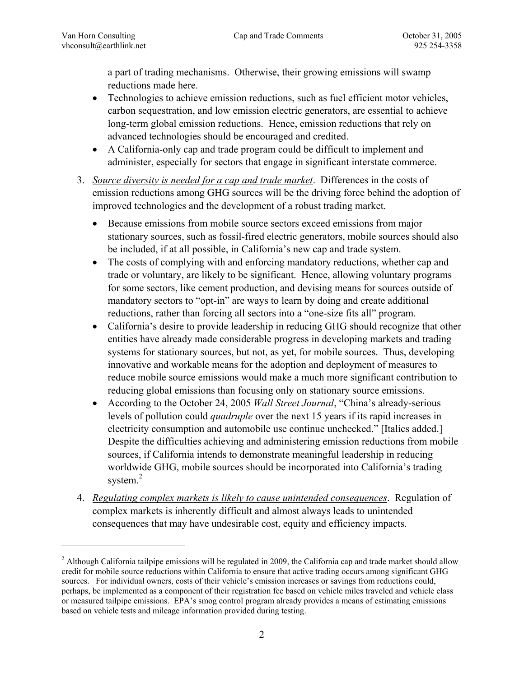1

a part of trading mechanisms. Otherwise, their growing emissions will swamp reductions made here.

- Technologies to achieve emission reductions, such as fuel efficient motor vehicles, carbon sequestration, and low emission electric generators, are essential to achieve long-term global emission reductions. Hence, emission reductions that rely on advanced technologies should be encouraged and credited.
- A California-only cap and trade program could be difficult to implement and administer, especially for sectors that engage in significant interstate commerce.
- 3. *Source diversity is needed for a cap and trade market*. Differences in the costs of emission reductions among GHG sources will be the driving force behind the adoption of improved technologies and the development of a robust trading market.
	- Because emissions from mobile source sectors exceed emissions from major stationary sources, such as fossil-fired electric generators, mobile sources should also be included, if at all possible, in California's new cap and trade system.
	- The costs of complying with and enforcing mandatory reductions, whether cap and trade or voluntary, are likely to be significant. Hence, allowing voluntary programs for some sectors, like cement production, and devising means for sources outside of mandatory sectors to "opt-in" are ways to learn by doing and create additional reductions, rather than forcing all sectors into a "one-size fits all" program.
	- California's desire to provide leadership in reducing GHG should recognize that other entities have already made considerable progress in developing markets and trading systems for stationary sources, but not, as yet, for mobile sources. Thus, developing innovative and workable means for the adoption and deployment of measures to reduce mobile source emissions would make a much more significant contribution to reducing global emissions than focusing only on stationary source emissions.
	- According to the October 24, 2005 *Wall Street Journal*, "China's already-serious levels of pollution could *quadruple* over the next 15 years if its rapid increases in electricity consumption and automobile use continue unchecked." [Italics added.] Despite the difficulties achieving and administering emission reductions from mobile sources, if California intends to demonstrate meaningful leadership in reducing worldwide GHG, mobile sources should be incorporated into California's trading system. [2](#page-3-0)
- 4. *Regulating complex markets is likely to cause unintended consequences*. Regulation of complex markets is inherently difficult and almost always leads to unintended consequences that may have undesirable cost, equity and efficiency impacts.

<span id="page-3-0"></span> $2$  Although California tailpipe emissions will be regulated in 2009, the California cap and trade market should allow credit for mobile source reductions within California to ensure that active trading occurs among significant GHG sources. For individual owners, costs of their vehicle's emission increases or savings from reductions could, perhaps, be implemented as a component of their registration fee based on vehicle miles traveled and vehicle class or measured tailpipe emissions. EPA's smog control program already provides a means of estimating emissions based on vehicle tests and mileage information provided during testing.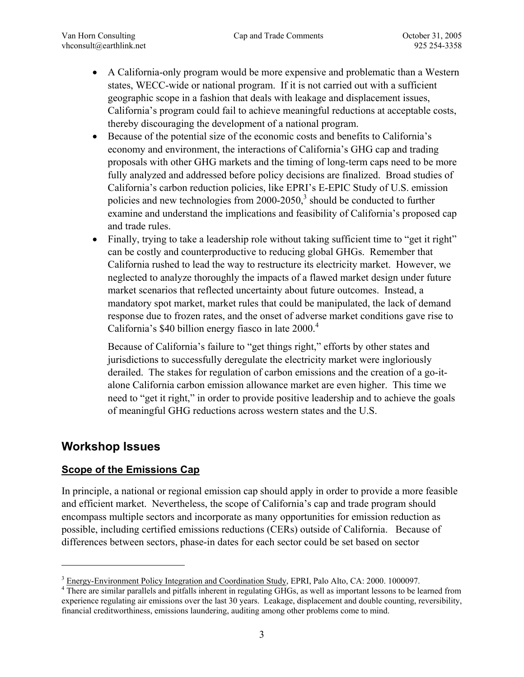- <span id="page-4-0"></span>• A California-only program would be more expensive and problematic than a Western states, WECC-wide or national program. If it is not carried out with a sufficient geographic scope in a fashion that deals with leakage and displacement issues, California's program could fail to achieve meaningful reductions at acceptable costs, thereby discouraging the development of a national program.
- Because of the potential size of the economic costs and benefits to California's economy and environment, the interactions of California's GHG cap and trading proposals with other GHG markets and the timing of long-term caps need to be more fully analyzed and addressed before policy decisions are finalized. Broad studies of California's carbon reduction policies, like EPRI's E-EPIC Study of U.S. emission policies and new technologies from  $2000-2050$ ,<sup>[3](#page-4-1)</sup> should be conducted to further examine and understand the implications and feasibility of California's proposed cap and trade rules.
- Finally, trying to take a leadership role without taking sufficient time to "get it right" can be costly and counterproductive to reducing global GHGs. Remember that California rushed to lead the way to restructure its electricity market. However, we neglected to analyze thoroughly the impacts of a flawed market design under future market scenarios that reflected uncertainty about future outcomes. Instead, a mandatory spot market, market rules that could be manipulated, the lack of demand response due to frozen rates, and the onset of adverse market conditions gave rise to California's \$[4](#page-4-2)0 billion energy fiasco in late  $2000<sup>4</sup>$

Because of California's failure to "get things right," efforts by other states and jurisdictions to successfully deregulate the electricity market were ingloriously derailed. The stakes for regulation of carbon emissions and the creation of a go-italone California carbon emission allowance market are even higher. This time we need to "get it right," in order to provide positive leadership and to achieve the goals of meaningful GHG reductions across western states and the U.S.

### **Workshop Issues**

1

#### **Scope of the Emissions Cap**

In principle, a national or regional emission cap should apply in order to provide a more feasible and efficient market. Nevertheless, the scope of California's cap and trade program should encompass multiple sectors and incorporate as many opportunities for emission reduction as possible, including certified emissions reductions (CERs) outside of California. Because of differences between sectors, phase-in dates for each sector could be set based on sector

<span id="page-4-1"></span> $\frac{3}{4}$  Energy-Environment Policy Integration and Coordination Study, EPRI, Palo Alto, CA: 2000. 1000097.

<span id="page-4-2"></span><sup>&</sup>lt;sup>4</sup> There are similar parallels and pitfalls inherent in regulating GHGs, as well as important lessons to be learned from experience regulating air emissions over the last 30 years. Leakage, displacement and double counting, reversibility, financial creditworthiness, emissions laundering, auditing among other problems come to mind.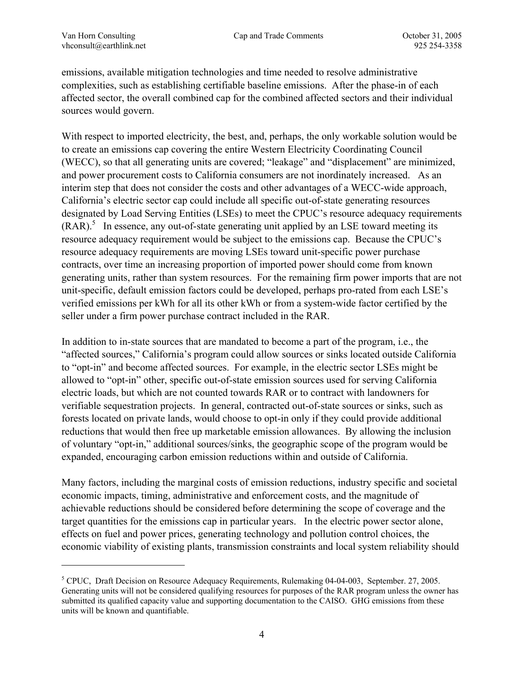$\overline{a}$ 

emissions, available mitigation technologies and time needed to resolve administrative complexities, such as establishing certifiable baseline emissions. After the phase-in of each affected sector, the overall combined cap for the combined affected sectors and their individual sources would govern.

With respect to imported electricity, the best, and, perhaps, the only workable solution would be to create an emissions cap covering the entire Western Electricity Coordinating Council (WECC), so that all generating units are covered; "leakage" and "displacement" are minimized, and power procurement costs to California consumers are not inordinately increased. As an interim step that does not consider the costs and other advantages of a WECC-wide approach, California's electric sector cap could include all specific out-of-state generating resources designated by Load Serving Entities (LSEs) to meet the CPUC's resource adequacy requirements  $(RAR)$ <sup>[5](#page-5-0)</sup> In essence, any out-of-state generating unit applied by an LSE toward meeting its resource adequacy requirement would be subject to the emissions cap. Because the CPUC's resource adequacy requirements are moving LSEs toward unit-specific power purchase contracts, over time an increasing proportion of imported power should come from known generating units, rather than system resources. For the remaining firm power imports that are not unit-specific, default emission factors could be developed, perhaps pro-rated from each LSE's verified emissions per kWh for all its other kWh or from a system-wide factor certified by the seller under a firm power purchase contract included in the RAR.

In addition to in-state sources that are mandated to become a part of the program, i.e., the "affected sources," California's program could allow sources or sinks located outside California to "opt-in" and become affected sources. For example, in the electric sector LSEs might be allowed to "opt-in" other, specific out-of-state emission sources used for serving California electric loads, but which are not counted towards RAR or to contract with landowners for verifiable sequestration projects. In general, contracted out-of-state sources or sinks, such as forests located on private lands, would choose to opt-in only if they could provide additional reductions that would then free up marketable emission allowances. By allowing the inclusion of voluntary "opt-in," additional sources/sinks, the geographic scope of the program would be expanded, encouraging carbon emission reductions within and outside of California.

Many factors, including the marginal costs of emission reductions, industry specific and societal economic impacts, timing, administrative and enforcement costs, and the magnitude of achievable reductions should be considered before determining the scope of coverage and the target quantities for the emissions cap in particular years. In the electric power sector alone, effects on fuel and power prices, generating technology and pollution control choices, the economic viability of existing plants, transmission constraints and local system reliability should

<span id="page-5-0"></span><sup>5</sup> CPUC, Draft Decision on Resource Adequacy Requirements, Rulemaking 04-04-003, September. 27, 2005. Generating units will not be considered qualifying resources for purposes of the RAR program unless the owner has submitted its qualified capacity value and supporting documentation to the CAISO. GHG emissions from these units will be known and quantifiable.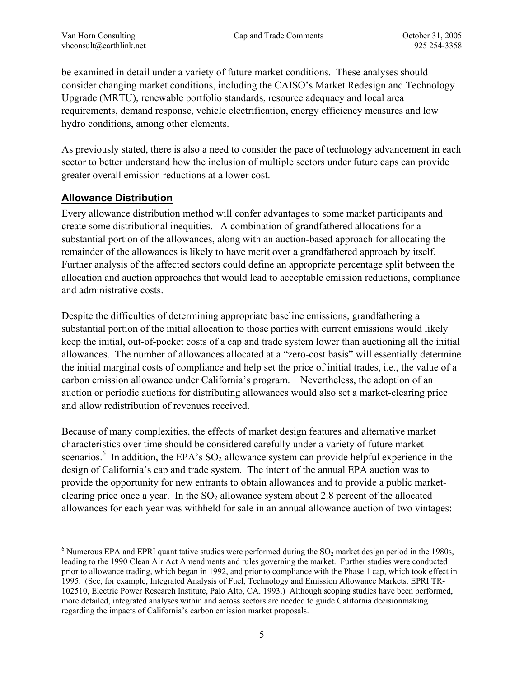<span id="page-6-0"></span>be examined in detail under a variety of future market conditions. These analyses should consider changing market conditions, including the CAISO's Market Redesign and Technology Upgrade (MRTU), renewable portfolio standards, resource adequacy and local area requirements, demand response, vehicle electrification, energy efficiency measures and low hydro conditions, among other elements.

As previously stated, there is also a need to consider the pace of technology advancement in each sector to better understand how the inclusion of multiple sectors under future caps can provide greater overall emission reductions at a lower cost.

#### **Allowance Distribution**

 $\overline{a}$ 

Every allowance distribution method will confer advantages to some market participants and create some distributional inequities. A combination of grandfathered allocations for a substantial portion of the allowances, along with an auction-based approach for allocating the remainder of the allowances is likely to have merit over a grandfathered approach by itself. Further analysis of the affected sectors could define an appropriate percentage split between the allocation and auction approaches that would lead to acceptable emission reductions, compliance and administrative costs.

Despite the difficulties of determining appropriate baseline emissions, grandfathering a substantial portion of the initial allocation to those parties with current emissions would likely keep the initial, out-of-pocket costs of a cap and trade system lower than auctioning all the initial allowances. The number of allowances allocated at a "zero-cost basis" will essentially determine the initial marginal costs of compliance and help set the price of initial trades, i.e., the value of a carbon emission allowance under California's program. Nevertheless, the adoption of an auction or periodic auctions for distributing allowances would also set a market-clearing price and allow redistribution of revenues received.

Because of many complexities, the effects of market design features and alternative market characteristics over time should be considered carefully under a variety of future market scenarios.<sup>[6](#page-6-1)</sup> In addition, the EPA's  $SO_2$  allowance system can provide helpful experience in the design of California's cap and trade system. The intent of the annual EPA auction was to provide the opportunity for new entrants to obtain allowances and to provide a public marketclearing price once a year. In the  $SO<sub>2</sub>$  allowance system about 2.8 percent of the allocated allowances for each year was withheld for sale in an annual allowance auction of two vintages:

<span id="page-6-1"></span> $6$  Numerous EPA and EPRI quantitative studies were performed during the  $SO_2$  market design period in the 1980s, leading to the 1990 Clean Air Act Amendments and rules governing the market. Further studies were conducted prior to allowance trading, which began in 1992, and prior to compliance with the Phase 1 cap, which took effect in 1995. (See, for example, Integrated Analysis of Fuel, Technology and Emission Allowance Markets. EPRI TR-102510, Electric Power Research Institute, Palo Alto, CA. 1993.) Although scoping studies have been performed, more detailed, integrated analyses within and across sectors are needed to guide California decisionmaking regarding the impacts of California's carbon emission market proposals.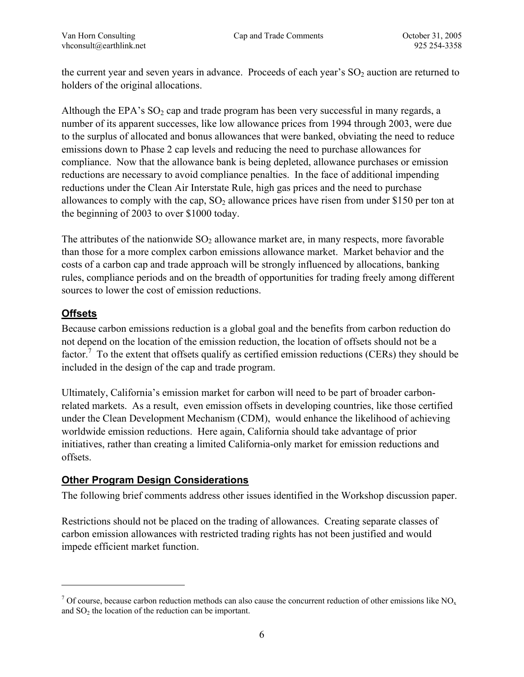<span id="page-7-0"></span>the current year and seven years in advance. Proceeds of each year's  $SO<sub>2</sub>$  auction are returned to holders of the original allocations.

Although the EPA's  $SO_2$  cap and trade program has been very successful in many regards, a number of its apparent successes, like low allowance prices from 1994 through 2003, were due to the surplus of allocated and bonus allowances that were banked, obviating the need to reduce emissions down to Phase 2 cap levels and reducing the need to purchase allowances for compliance. Now that the allowance bank is being depleted, allowance purchases or emission reductions are necessary to avoid compliance penalties. In the face of additional impending reductions under the Clean Air Interstate Rule, high gas prices and the need to purchase allowances to comply with the cap,  $SO_2$  allowance prices have risen from under \$150 per ton at the beginning of 2003 to over \$1000 today.

The attributes of the nationwide  $SO_2$  allowance market are, in many respects, more favorable than those for a more complex carbon emissions allowance market. Market behavior and the costs of a carbon cap and trade approach will be strongly influenced by allocations, banking rules, compliance periods and on the breadth of opportunities for trading freely among different sources to lower the cost of emission reductions.

#### **Offsets**

<u>.</u>

Because carbon emissions reduction is a global goal and the benefits from carbon reduction do not depend on the location of the emission reduction, the location of offsets should not be a factor.<sup>7</sup> To the extent that offsets qualify as certified emission reductions (CERs) they should be included in the design of the cap and trade program.

Ultimately, California's emission market for carbon will need to be part of broader carbonrelated markets. As a result, even emission offsets in developing countries, like those certified under the Clean Development Mechanism (CDM), would enhance the likelihood of achieving worldwide emission reductions. Here again, California should take advantage of prior initiatives, rather than creating a limited California-only market for emission reductions and offsets.

#### **Other Program Design Considerations**

The following brief comments address other issues identified in the Workshop discussion paper.

Restrictions should not be placed on the trading of allowances. Creating separate classes of carbon emission allowances with restricted trading rights has not been justified and would impede efficient market function.

<span id="page-7-1"></span><sup>&</sup>lt;sup>7</sup> Of course, because carbon reduction methods can also cause the concurrent reduction of other emissions like NO<sub>x</sub> and  $SO<sub>2</sub>$  the location of the reduction can be important.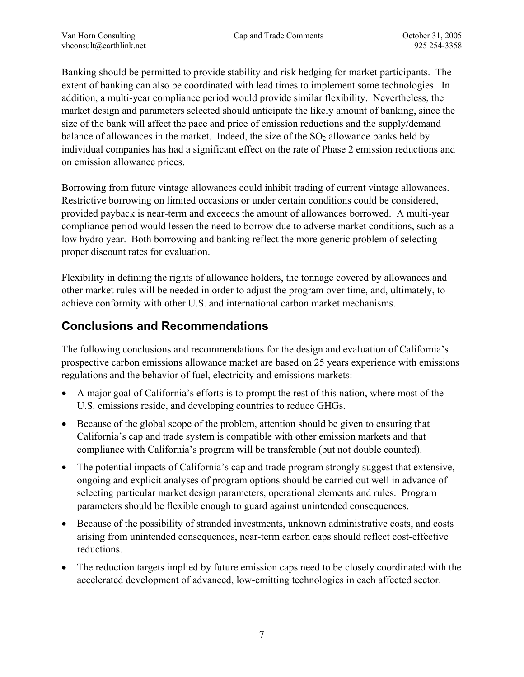<span id="page-8-0"></span>Banking should be permitted to provide stability and risk hedging for market participants. The extent of banking can also be coordinated with lead times to implement some technologies. In addition, a multi-year compliance period would provide similar flexibility. Nevertheless, the market design and parameters selected should anticipate the likely amount of banking, since the size of the bank will affect the pace and price of emission reductions and the supply/demand balance of allowances in the market. Indeed, the size of the  $SO<sub>2</sub>$  allowance banks held by individual companies has had a significant effect on the rate of Phase 2 emission reductions and on emission allowance prices.

Borrowing from future vintage allowances could inhibit trading of current vintage allowances. Restrictive borrowing on limited occasions or under certain conditions could be considered, provided payback is near-term and exceeds the amount of allowances borrowed. A multi-year compliance period would lessen the need to borrow due to adverse market conditions, such as a low hydro year. Both borrowing and banking reflect the more generic problem of selecting proper discount rates for evaluation.

Flexibility in defining the rights of allowance holders, the tonnage covered by allowances and other market rules will be needed in order to adjust the program over time, and, ultimately, to achieve conformity with other U.S. and international carbon market mechanisms.

## **Conclusions and Recommendations**

The following conclusions and recommendations for the design and evaluation of California's prospective carbon emissions allowance market are based on 25 years experience with emissions regulations and the behavior of fuel, electricity and emissions markets:

- A major goal of California's efforts is to prompt the rest of this nation, where most of the U.S. emissions reside, and developing countries to reduce GHGs.
- Because of the global scope of the problem, attention should be given to ensuring that California's cap and trade system is compatible with other emission markets and that compliance with California's program will be transferable (but not double counted).
- The potential impacts of California's cap and trade program strongly suggest that extensive, ongoing and explicit analyses of program options should be carried out well in advance of selecting particular market design parameters, operational elements and rules. Program parameters should be flexible enough to guard against unintended consequences.
- Because of the possibility of stranded investments, unknown administrative costs, and costs arising from unintended consequences, near-term carbon caps should reflect cost-effective reductions.
- The reduction targets implied by future emission caps need to be closely coordinated with the accelerated development of advanced, low-emitting technologies in each affected sector.